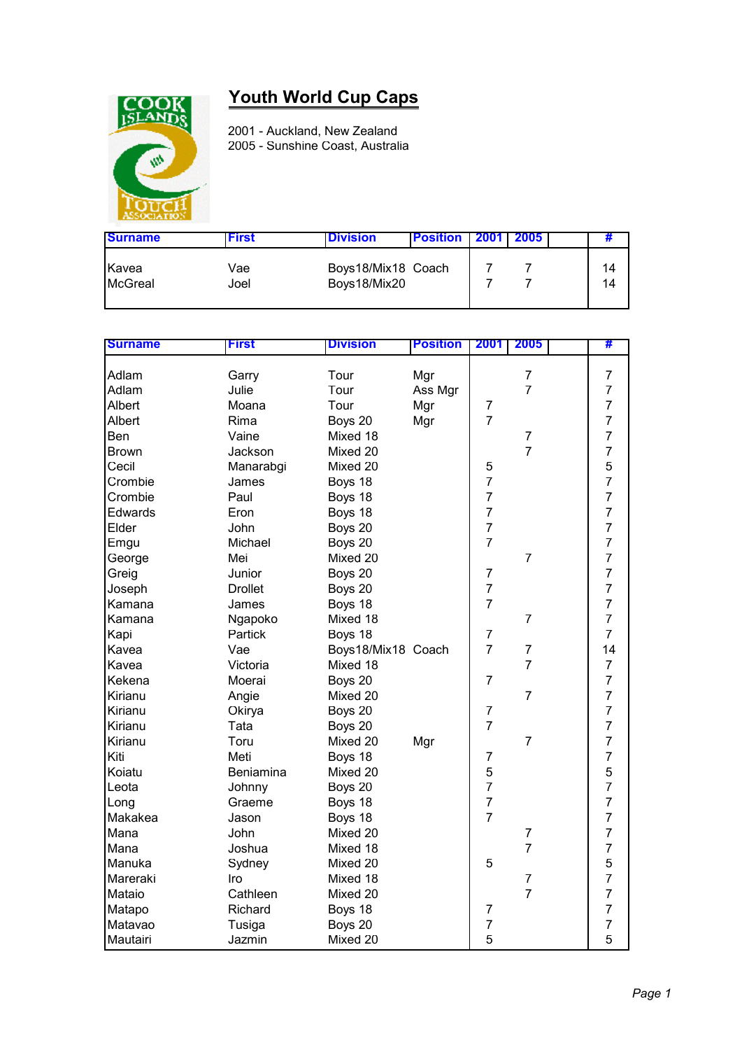

## **Youth World Cup Caps**

2001 - Auckland, New Zealand 2005 - Sunshine Coast, Australia

| <b>Surname</b>          | First       | <b>Division</b>                    | <b>Position</b> | <b>2001</b> L | -2005 I |          |
|-------------------------|-------------|------------------------------------|-----------------|---------------|---------|----------|
| Kavea<br><b>McGreal</b> | Vae<br>Joel | Boys18/Mix18 Coach<br>Boys18/Mix20 |                 |               |         | 14<br>14 |

| <b>Surname</b> | <b>First</b>   | <b>Division</b>    | <b>Position</b> | 2001                | 2005           | #              |
|----------------|----------------|--------------------|-----------------|---------------------|----------------|----------------|
| Adlam          | Garry          | Tour               | Mgr             |                     | $\overline{7}$ | $\overline{7}$ |
| Adlam          | Julie          | Tour               | Ass Mgr         |                     | $\overline{7}$ | $\overline{7}$ |
| Albert         | Moana          | Tour               | Mgr             | $\overline{7}$      |                | $\overline{7}$ |
| Albert         | Rima           | Boys 20            |                 | $\overline{7}$      |                | $\overline{7}$ |
| Ben            | Vaine          | Mixed 18           | Mgr             |                     | $\overline{7}$ | $\overline{7}$ |
| <b>Brown</b>   | Jackson        | Mixed 20           |                 |                     | $\overline{7}$ | $\overline{7}$ |
| Cecil          |                |                    |                 |                     |                |                |
|                | Manarabgi      | Mixed 20           |                 | 5<br>$\overline{7}$ |                | $\frac{5}{7}$  |
| Crombie        | James          | Boys 18            |                 |                     |                |                |
| Crombie        | Paul           | Boys 18            |                 | $\overline{7}$      |                | $\overline{7}$ |
| Edwards        | Eron           | Boys 18            |                 | $\overline{7}$      |                | $\overline{7}$ |
| Elder          | John           | Boys 20            |                 | $\overline{7}$      |                | $\overline{7}$ |
| Emgu           | Michael        | Boys 20            |                 | $\overline{7}$      |                | $\overline{7}$ |
| George         | Mei            | Mixed 20           |                 |                     | $\overline{7}$ | $\overline{7}$ |
| Greig          | Junior         | Boys 20            |                 | $\overline{7}$      |                | $\overline{7}$ |
| Joseph         | <b>Drollet</b> | Boys 20            |                 | $\overline{7}$      |                | $\overline{7}$ |
| Kamana         | James          | Boys 18            |                 | $\overline{7}$      |                | $\overline{7}$ |
| Kamana         | Ngapoko        | Mixed 18           |                 |                     | $\overline{7}$ | $\overline{7}$ |
| Kapi           | Partick        | Boys 18            |                 | $\overline{7}$      |                | $\overline{7}$ |
| Kavea          | Vae            | Boys18/Mix18 Coach |                 | $\overline{7}$      | $\overline{7}$ | 14             |
| Kavea          | Victoria       | Mixed 18           |                 |                     | $\overline{7}$ | $\overline{7}$ |
| Kekena         | Moerai         | Boys 20            |                 | $\overline{7}$      |                | $\overline{7}$ |
| Kirianu        | Angie          | Mixed 20           |                 |                     | $\overline{7}$ | $\overline{7}$ |
| Kirianu        | Okirya         | Boys 20            |                 | $\overline{7}$      |                | $\overline{7}$ |
| Kirianu        | Tata           | Boys 20            |                 | $\overline{7}$      |                | $\overline{7}$ |
| Kirianu        | Toru           | Mixed 20           | Mgr             |                     | $\overline{7}$ | $\overline{7}$ |
| Kiti           | Meti           | Boys 18            |                 | $\overline{7}$      |                | $\overline{7}$ |
| Koiatu         | Beniamina      | Mixed 20           |                 | 5                   |                | 5              |
| Leota          | Johnny         | Boys 20            |                 | $\overline{7}$      |                | $\overline{7}$ |
| Long           | Graeme         | Boys 18            |                 | $\overline{7}$      |                | $\overline{7}$ |
| Makakea        | Jason          | Boys 18            |                 | $\overline{7}$      |                | $\overline{7}$ |
| Mana           | John           | Mixed 20           |                 |                     | $\overline{7}$ | $\overline{7}$ |
| Mana           | Joshua         | Mixed 18           |                 |                     | $\overline{7}$ | $\overline{7}$ |
| Manuka         | Sydney         | Mixed 20           |                 | 5                   |                |                |
| Mareraki       | Iro            | Mixed 18           |                 |                     | $\overline{7}$ | $\frac{5}{7}$  |
| Mataio         | Cathleen       | Mixed 20           |                 |                     | $\overline{7}$ | $\overline{7}$ |
| Matapo         | Richard        | Boys 18            |                 | $\overline{7}$      |                | $\overline{7}$ |
| Matavao        |                |                    |                 | $\overline{7}$      |                | $\overline{7}$ |
|                | Tusiga         | Boys 20            |                 |                     |                | 5              |
| Mautairi       | Jazmin         | Mixed 20           |                 | 5                   |                |                |